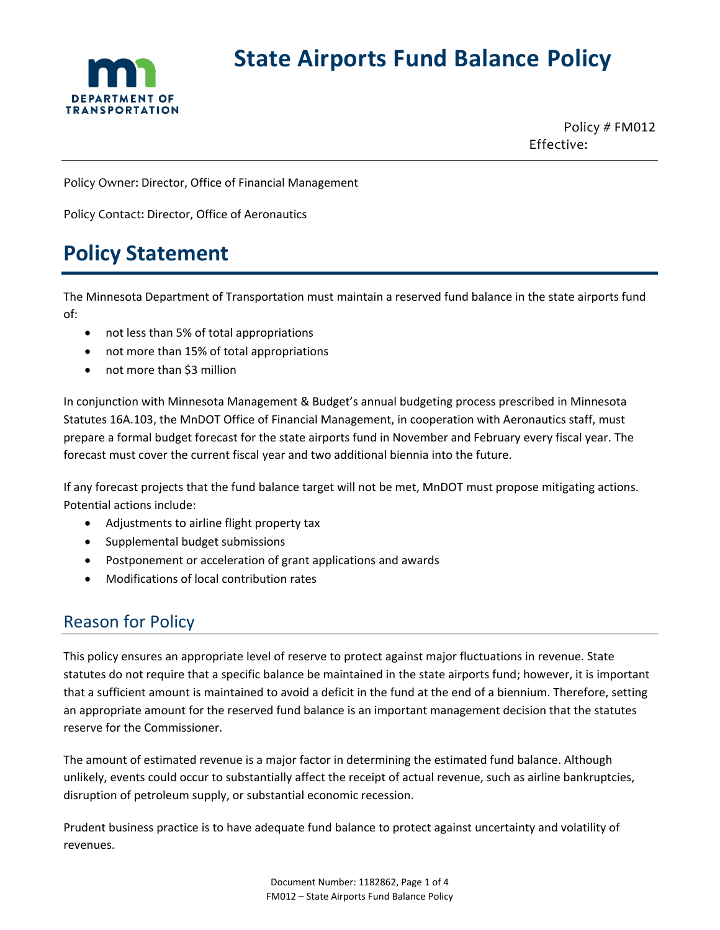

# **State Airports Fund Balance Policy**

Policy # FM012 Effective:

Policy Owner: Director, Office of Financial Management

Policy Contact: Director, Office of Aeronautics

# **Policy Statement**

The Minnesota Department of Transportation must maintain a reserved fund balance in the state airports fund of:

- not less than 5% of total appropriations
- not more than 15% of total appropriations
- not more than \$3 million

In conjunction with Minnesota Management & Budget's annual budgeting process prescribed in Minnesota Statutes 16A.103, the MnDOT Office of Financial Management, in cooperation with Aeronautics staff, must prepare a formal budget forecast for the state airports fund in November and February every fiscal year. The forecast must cover the current fiscal year and two additional biennia into the future.

If any forecast projects that the fund balance target will not be met, MnDOT must propose mitigating actions. Potential actions include:

- Adjustments to airline flight property tax
- Supplemental budget submissions
- Postponement or acceleration of grant applications and awards
- Modifications of local contribution rates

# Reason for Policy

This policy ensures an appropriate level of reserve to protect against major fluctuations in revenue. State statutes do not require that a specific balance be maintained in the state airports fund; however, it is important that a sufficient amount is maintained to avoid a deficit in the fund at the end of a biennium. Therefore, setting an appropriate amount for the reserved fund balance is an important management decision that the statutes reserve for the Commissioner.

The amount of estimated revenue is a major factor in determining the estimated fund balance. Although unlikely, events could occur to substantially affect the receipt of actual revenue, such as airline bankruptcies, disruption of petroleum supply, or substantial economic recession.

Prudent business practice is to have adequate fund balance to protect against uncertainty and volatility of revenues.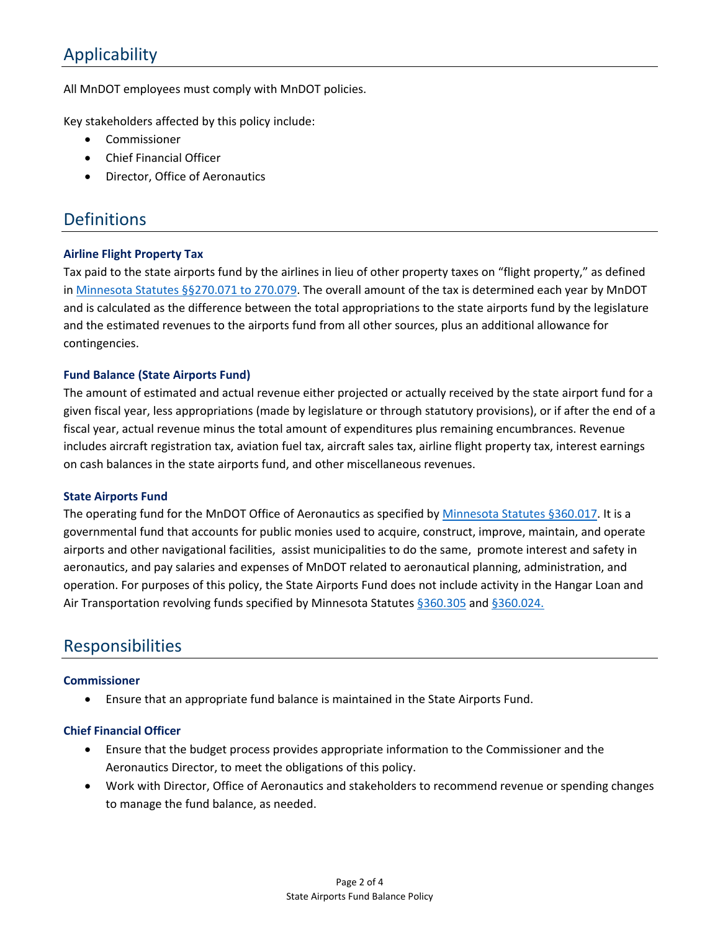# Applicability

All MnDOT employees must comply with MnDOT policies.

Key stakeholders affected by this policy include:

- **Commissioner**
- Chief Financial Officer
- Director, Office of Aeronautics

## **Definitions**

#### **Airline Flight Property Tax**

Tax paid to the state airports fund by the airlines in lieu of other property taxes on "flight property," as defined in [Minnesota Statutes §§270.071 to 270.079.](https://www.revisor.mn.gov/statutes/cite/270) The overall amount of the tax is determined each year by MnDOT and is calculated as the difference between the total appropriations to the state airports fund by the legislature and the estimated revenues to the airports fund from all other sources, plus an additional allowance for contingencies.

#### **Fund Balance (State Airports Fund)**

The amount of estimated and actual revenue either projected or actually received by the state airport fund for a given fiscal year, less appropriations (made by legislature or through statutory provisions), or if after the end of a fiscal year, actual revenue minus the total amount of expenditures plus remaining encumbrances. Revenue includes aircraft registration tax, aviation fuel tax, aircraft sales tax, airline flight property tax, interest earnings on cash balances in the state airports fund, and other miscellaneous revenues.

#### **State Airports Fund**

The operating fund for the MnDOT Office of Aeronautics as specified by [Minnesota Statutes §360.017.](https://www.revisor.mn.gov/statutes/cite/360.017) It is a governmental fund that accounts for public monies used to acquire, construct, improve, maintain, and operate airports and other navigational facilities, assist municipalities to do the same, promote interest and safety in aeronautics, and pay salaries and expenses of MnDOT related to aeronautical planning, administration, and operation. For purposes of this policy, the State Airports Fund does not include activity in the Hangar Loan and Air Transportation revolving funds specified by Minnesota Statutes [§360.305](https://www.revisor.mn.gov/statutes/cite/360.305) and [§360.024.](https://www.revisor.mn.gov/statutes/cite/360.024)

## Responsibilities

#### **Commissioner**

• Ensure that an appropriate fund balance is maintained in the State Airports Fund.

#### **Chief Financial Officer**

- Ensure that the budget process provides appropriate information to the Commissioner and the Aeronautics Director, to meet the obligations of this policy.
- Work with Director, Office of Aeronautics and stakeholders to recommend revenue or spending changes to manage the fund balance, as needed.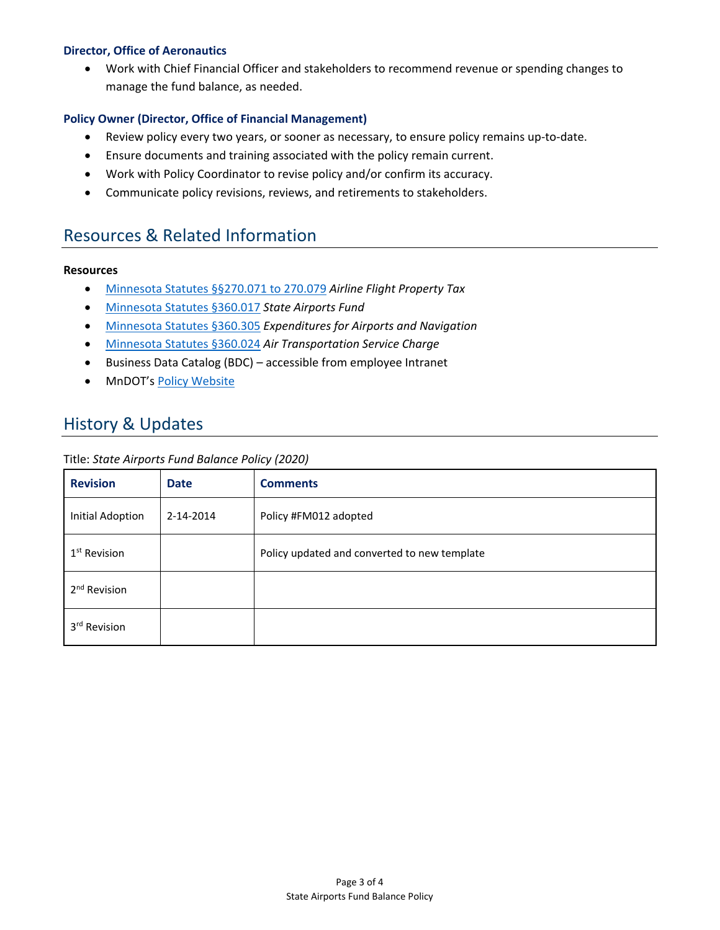#### **Director, Office of Aeronautics**

• Work with Chief Financial Officer and stakeholders to recommend revenue or spending changes to manage the fund balance, as needed.

#### **Policy Owner (Director, Office of Financial Management)**

- Review policy every two years, or sooner as necessary, to ensure policy remains up-to-date.
- Ensure documents and training associated with the policy remain current.
- Work with Policy Coordinator to revise policy and/or confirm its accuracy.
- Communicate policy revisions, reviews, and retirements to stakeholders.

### Resources & Related Information

#### **Resources**

- [Minnesota Statutes §§270.071 to 270.079](https://www.revisor.mn.gov/statutes/cite/270) *Airline Flight Property Tax*
- [Minnesota Statutes §360.017](https://www.revisor.mn.gov/statutes/cite/360.017) *State Airports Fund*
- [Minnesota Statutes §360.305](https://www.revisor.mn.gov/statutes/cite/360.305) *Expenditures for Airports and Navigation*
- [Minnesota Statutes §360.024](https://www.revisor.mn.gov/statutes/cite/360.024) *Air Transportation Service Charge*
- Business Data Catalog (BDC) accessible from employee Intranet
- MnDOT's [Policy Website](http://www.dot.state.mn.us/policy/index.html)

# History & Updates

#### Title: *State Airports Fund Balance Policy (2020)*

| <b>Revision</b>          | <b>Date</b> | <b>Comments</b>                              |
|--------------------------|-------------|----------------------------------------------|
| <b>Initial Adoption</b>  | 2-14-2014   | Policy #FM012 adopted                        |
| 1 <sup>st</sup> Revision |             | Policy updated and converted to new template |
| 2 <sup>nd</sup> Revision |             |                                              |
| 3rd Revision             |             |                                              |